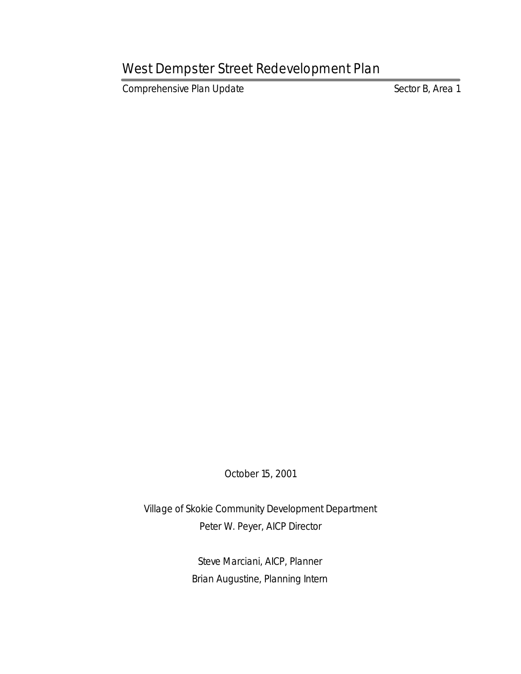Comprehensive Plan Update Sector B, Area 1

October 15, 2001

Village of Skokie Community Development Department Peter W. Peyer, AICP Director

> Steve Marciani, AICP, Planner Brian Augustine, Planning Intern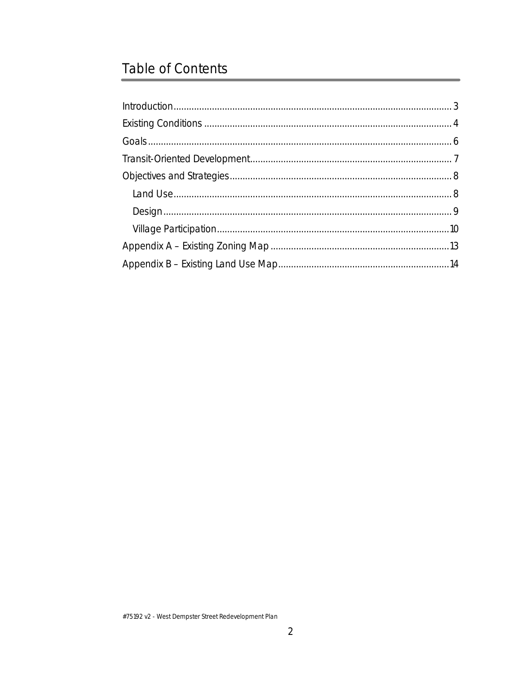# **Table of Contents**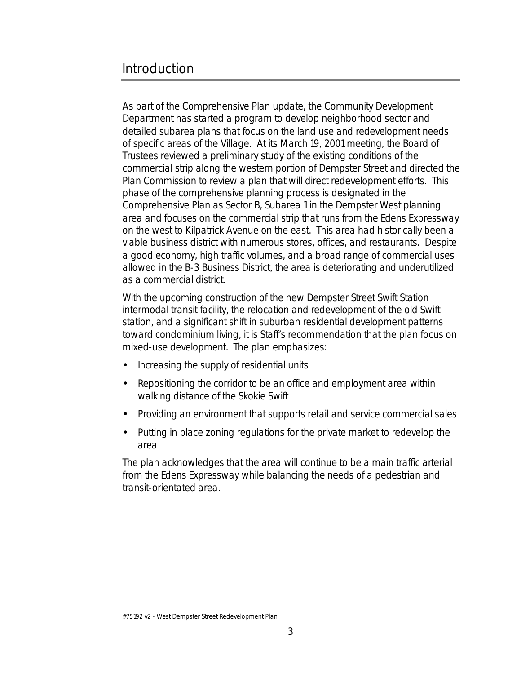### Introduction

As part of the Comprehensive Plan update, the Community Development Department has started a program to develop neighborhood sector and detailed subarea plans that focus on the land use and redevelopment needs of specific areas of the Village. At its March 19, 2001 meeting, the Board of Trustees reviewed a preliminary study of the existing conditions of the commercial strip along the western portion of Dempster Street and directed the Plan Commission to review a plan that will direct redevelopment efforts. This phase of the comprehensive planning process is designated in the Comprehensive Plan as Sector B, Subarea 1 in the Dempster West planning area and focuses on the commercial strip that runs from the Edens Expressway on the west to Kilpatrick Avenue on the east. This area had historically been a viable business district with numerous stores, offices, and restaurants. Despite a good economy, high traffic volumes, and a broad range of commercial uses allowed in the B-3 Business District, the area is deteriorating and underutilized as a commercial district.

With the upcoming construction of the new Dempster Street Swift Station intermodal transit facility, the relocation and redevelopment of the old Swift station, and a significant shift in suburban residential development patterns toward condominium living, it is Staff's recommendation that the plan focus on mixed-use development. The plan emphasizes:

- Increasing the supply of residential units
- Repositioning the corridor to be an office and employment area within walking distance of the Skokie Swift
- Providing an environment that supports retail and service commercial sales
- Putting in place zoning regulations for the private market to redevelop the area

The plan acknowledges that the area will continue to be a main traffic arterial from the Edens Expressway while balancing the needs of a pedestrian and transit-orientated area.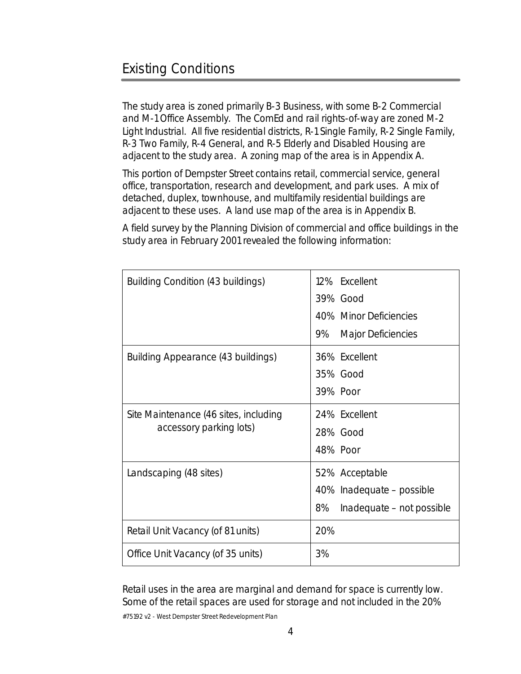The study area is zoned primarily B-3 Business, with some B-2 Commercial and M-1 Office Assembly. The ComEd and rail rights-of-way are zoned M-2 Light Industrial. All five residential districts, R-1 Single Family, R-2 Single Family, R-3 Two Family, R-4 General, and R-5 Elderly and Disabled Housing are adjacent to the study area. A zoning map of the area is in Appendix A.

This portion of Dempster Street contains retail, commercial service, general office, transportation, research and development, and park uses. A mix of detached, duplex, townhouse, and multifamily residential buildings are adjacent to these uses. A land use map of the area is in Appendix B.

A field survey by the Planning Division of commercial and office buildings in the study area in February 2001 revealed the following information:

| <b>Building Condition (43 buildings)</b>                         | 12% Excellent                   |
|------------------------------------------------------------------|---------------------------------|
|                                                                  | <b>39% Good</b>                 |
|                                                                  | <b>40% Minor Deficiencies</b>   |
|                                                                  | <b>Major Deficiencies</b><br>9% |
| <b>Building Appearance (43 buildings)</b>                        | 36% Excellent                   |
|                                                                  | 35% Good                        |
|                                                                  | <b>39% Poor</b>                 |
| Site Maintenance (46 sites, including<br>accessory parking lots) | 24% Excellent                   |
|                                                                  | 28% Good                        |
|                                                                  | 48% Poor                        |
| Landscaping (48 sites)                                           | 52% Acceptable                  |
|                                                                  | 40% Inadequate – possible       |
|                                                                  | 8%<br>Inadequate – not possible |
| <b>Retail Unit Vacancy (of 81 units)</b>                         | 20%                             |
| <b>Office Unit Vacancy (of 35 units)</b>                         | 3%                              |

Retail uses in the area are marginal and demand for space is currently low. Some of the retail spaces are used for storage and not included in the 20%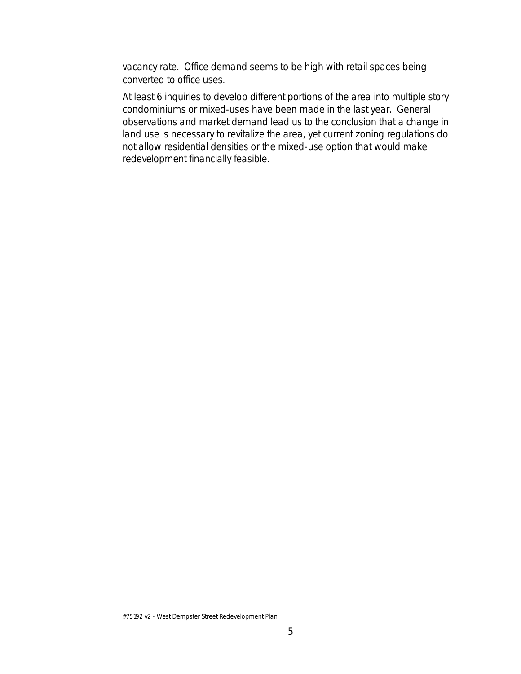vacancy rate. Office demand seems to be high with retail spaces being converted to office uses.

At least 6 inquiries to develop different portions of the area into multiple story condominiums or mixed-uses have been made in the last year. General observations and market demand lead us to the conclusion that a change in land use is necessary to revitalize the area, yet current zoning regulations do not allow residential densities or the mixed-use option that would make redevelopment financially feasible.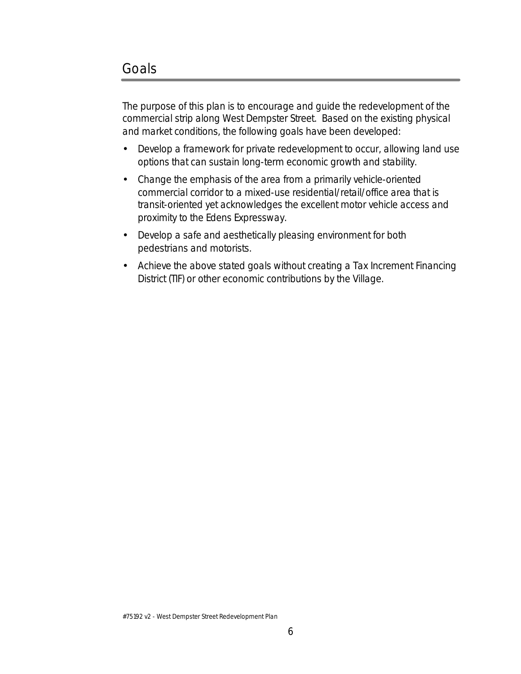The purpose of this plan is to encourage and guide the redevelopment of the commercial strip along West Dempster Street. Based on the existing physical and market conditions, the following goals have been developed:

- Develop a framework for private redevelopment to occur, allowing land use options that can sustain long-term economic growth and stability.
- Change the emphasis of the area from a primarily vehicle-oriented commercial corridor to a mixed-use residential/retail/office area that is transit-oriented yet acknowledges the excellent motor vehicle access and proximity to the Edens Expressway.
- Develop a safe and aesthetically pleasing environment for both pedestrians and motorists.
- Achieve the above stated goals without creating a Tax Increment Financing District (TIF) or other economic contributions by the Village.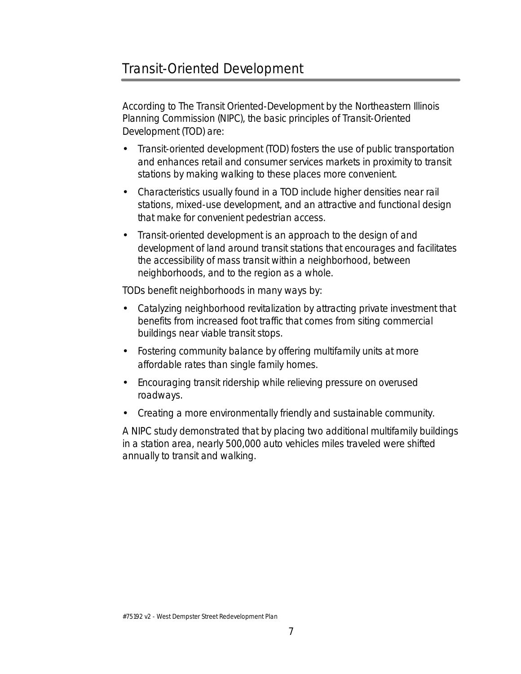## Transit-Oriented Development

According to The Transit Oriented-Development by the Northeastern Illinois Planning Commission (NIPC), the basic principles of Transit-Oriented Development (TOD) are:

- Transit-oriented development (TOD) fosters the use of public transportation and enhances retail and consumer services markets in proximity to transit stations by making walking to these places more convenient.
- Characteristics usually found in a TOD include higher densities near rail stations, mixed-use development, and an attractive and functional design that make for convenient pedestrian access.
- Transit-oriented development is an approach to the design of and development of land around transit stations that encourages and facilitates the accessibility of mass transit within a neighborhood, between neighborhoods, and to the region as a whole.

TODs benefit neighborhoods in many ways by:

- Catalyzing neighborhood revitalization by attracting private investment that benefits from increased foot traffic that comes from siting commercial buildings near viable transit stops.
- Fostering community balance by offering multifamily units at more affordable rates than single family homes.
- Encouraging transit ridership while relieving pressure on overused roadways.
- Creating a more environmentally friendly and sustainable community.

A NIPC study demonstrated that by placing two additional multifamily buildings in a station area, nearly 500,000 auto vehicles miles traveled were shifted annually to transit and walking.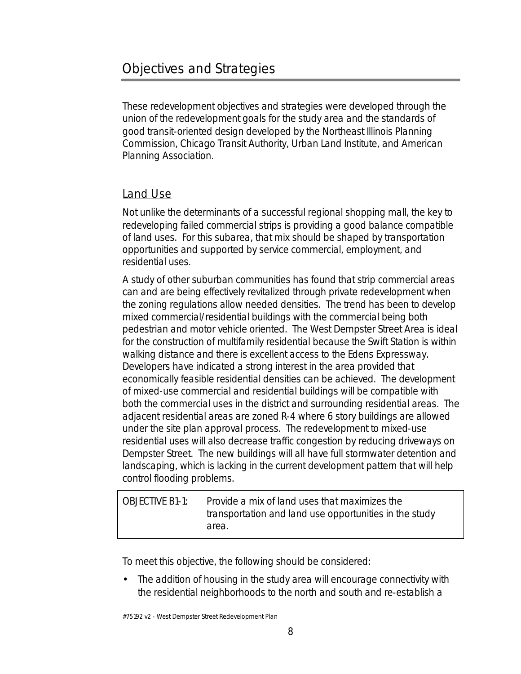These redevelopment objectives and strategies were developed through the union of the redevelopment goals for the study area and the standards of good transit-oriented design developed by the Northeast Illinois Planning Commission, Chicago Transit Authority, Urban Land Institute, and American Planning Association.

#### Land Use

Not unlike the determinants of a successful regional shopping mall, the key to redeveloping failed commercial strips is providing a good balance compatible of land uses. For this subarea, that mix should be shaped by transportation opportunities and supported by service commercial, employment, and residential uses.

A study of other suburban communities has found that strip commercial areas can and are being effectively revitalized through private redevelopment when the zoning regulations allow needed densities. The trend has been to develop mixed commercial/residential buildings with the commercial being both pedestrian and motor vehicle oriented. The West Dempster Street Area is ideal for the construction of multifamily residential because the Swift Station is within walking distance and there is excellent access to the Edens Expressway. Developers have indicated a strong interest in the area provided that economically feasible residential densities can be achieved. The development of mixed-use commercial and residential buildings will be compatible with both the commercial uses in the district and surrounding residential areas. The adjacent residential areas are zoned R-4 where 6 story buildings are allowed under the site plan approval process. The redevelopment to mixed-use residential uses will also decrease traffic congestion by reducing driveways on Dempster Street. The new buildings will all have full stormwater detention and landscaping, which is lacking in the current development pattern that will help control flooding problems.

OBJECTIVE B1-1: Provide a mix of land uses that maximizes the transportation and land use opportunities in the study area.

To meet this objective, the following should be considered:

• The addition of housing in the study area will encourage connectivity with the residential neighborhoods to the north and south and re-establish a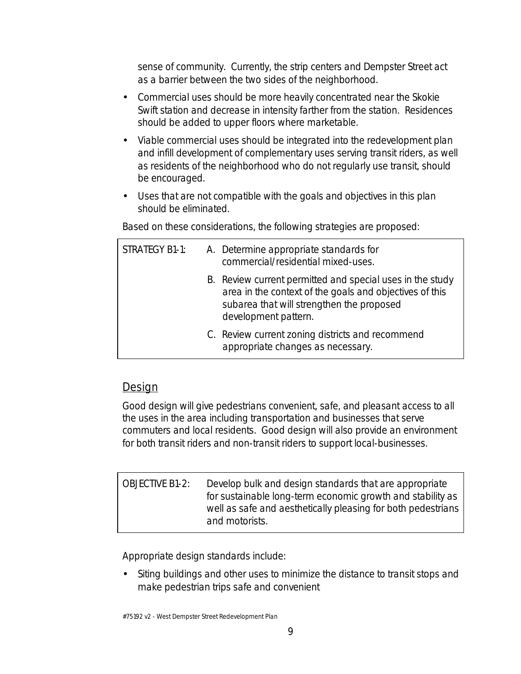sense of community. Currently, the strip centers and Dempster Street act as a barrier between the two sides of the neighborhood.

- Commercial uses should be more heavily concentrated near the Skokie Swift station and decrease in intensity farther from the station. Residences should be added to upper floors where marketable.
- Viable commercial uses should be integrated into the redevelopment plan and infill development of complementary uses serving transit riders, as well as residents of the neighborhood who do not regularly use transit, should be encouraged.
- Uses that are not compatible with the goals and objectives in this plan should be eliminated.

Based on these considerations, the following strategies are proposed:

| <b>STRATEGY B1-1:</b> | A. Determine appropriate standards for<br>commercial/residential mixed-uses.                                                                                                              |
|-----------------------|-------------------------------------------------------------------------------------------------------------------------------------------------------------------------------------------|
|                       | B. Review current permitted and special uses in the study<br>area in the context of the goals and objectives of this<br>subarea that will strengthen the proposed<br>development pattern. |
|                       | C. Review current zoning districts and recommend<br>appropriate changes as necessary.                                                                                                     |

#### **Design**

Good design will give pedestrians convenient, safe, and pleasant access to all the uses in the area including transportation and businesses that serve commuters and local residents. Good design will also provide an environment for both transit riders and non-transit riders to support local-businesses.

| <b>OBJECTIVE B1-2:</b> | Develop bulk and design standards that are appropriate       |
|------------------------|--------------------------------------------------------------|
|                        | for sustainable long-term economic growth and stability as   |
|                        | well as safe and aesthetically pleasing for both pedestrians |
|                        | and motorists.                                               |

Appropriate design standards include:

• Siting buildings and other uses to minimize the distance to transit stops and make pedestrian trips safe and convenient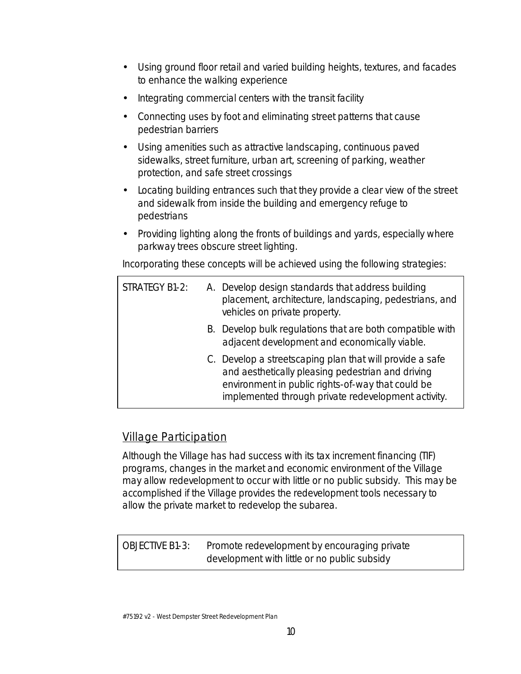- Using ground floor retail and varied building heights, textures, and facades to enhance the walking experience
- Integrating commercial centers with the transit facility
- Connecting uses by foot and eliminating street patterns that cause pedestrian barriers
- Using amenities such as attractive landscaping, continuous paved sidewalks, street furniture, urban art, screening of parking, weather protection, and safe street crossings
- Locating building entrances such that they provide a clear view of the street and sidewalk from inside the building and emergency refuge to pedestrians
- Providing lighting along the fronts of buildings and yards, especially where parkway trees obscure street lighting.

Incorporating these concepts will be achieved using the following strategies:

| <b>STRATEGY B1-2:</b> | A. Develop design standards that address building<br>placement, architecture, landscaping, pedestrians, and<br>vehicles on private property.                                                                              |
|-----------------------|---------------------------------------------------------------------------------------------------------------------------------------------------------------------------------------------------------------------------|
|                       | B. Develop bulk regulations that are both compatible with<br>adjacent development and economically viable.                                                                                                                |
|                       | C. Develop a streetscaping plan that will provide a safe<br>and aesthetically pleasing pedestrian and driving<br>environment in public rights-of-way that could be<br>implemented through private redevelopment activity. |

#### Village Participation

Although the Village has had success with its tax increment financing (TIF) programs, changes in the market and economic environment of the Village may allow redevelopment to occur with little or no public subsidy. This may be accomplished if the Village provides the redevelopment tools necessary to allow the private market to redevelop the subarea.

OBJECTIVE B1-3: Promote redevelopment by encouraging private development with little or no public subsidy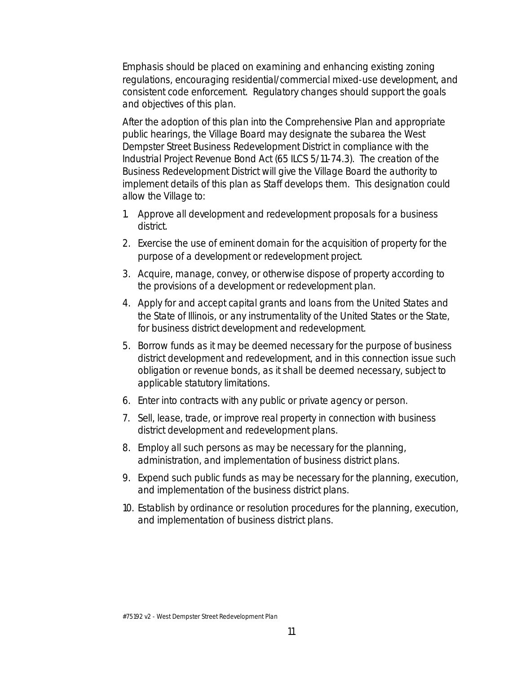Emphasis should be placed on examining and enhancing existing zoning regulations, encouraging residential/commercial mixed-use development, and consistent code enforcement. Regulatory changes should support the goals and objectives of this plan.

After the adoption of this plan into the Comprehensive Plan and appropriate public hearings, the Village Board may designate the subarea the West Dempster Street Business Redevelopment District in compliance with the Industrial Project Revenue Bond Act (65 ILCS 5/11-74.3). The creation of the Business Redevelopment District will give the Village Board the authority to implement details of this plan as Staff develops them. This designation could allow the Village to:

- 1. Approve all development and redevelopment proposals for a business district.
- 2. Exercise the use of eminent domain for the acquisition of property for the purpose of a development or redevelopment project.
- 3. Acquire, manage, convey, or otherwise dispose of property according to the provisions of a development or redevelopment plan.
- 4. Apply for and accept capital grants and loans from the United States and the State of Illinois, or any instrumentality of the United States or the State, for business district development and redevelopment.
- 5. Borrow funds as it may be deemed necessary for the purpose of business district development and redevelopment, and in this connection issue such obligation or revenue bonds, as it shall be deemed necessary, subject to applicable statutory limitations.
- 6. Enter into contracts with any public or private agency or person.
- 7. Sell, lease, trade, or improve real property in connection with business district development and redevelopment plans.
- 8. Employ all such persons as may be necessary for the planning, administration, and implementation of business district plans.
- 9. Expend such public funds as may be necessary for the planning, execution, and implementation of the business district plans.
- 10. Establish by ordinance or resolution procedures for the planning, execution, and implementation of business district plans.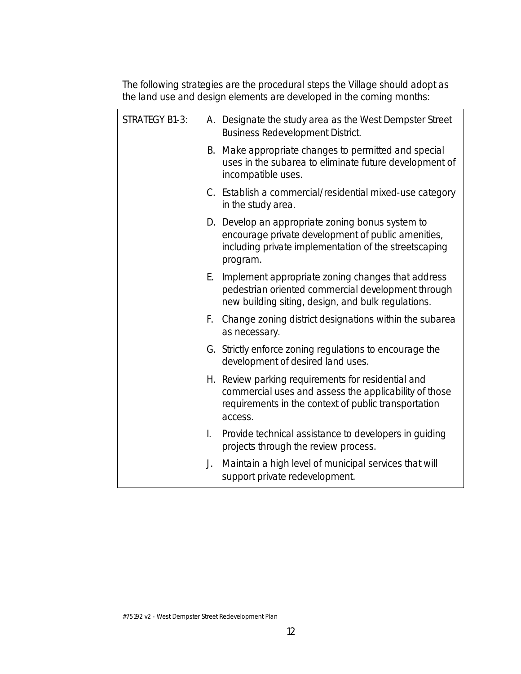The following strategies are the procedural steps the Village should adopt as the land use and design elements are developed in the coming months:

| <b>STRATEGY B1-3:</b> |    | A. Designate the study area as the West Dempster Street<br><b>Business Redevelopment District.</b>                                                                             |
|-----------------------|----|--------------------------------------------------------------------------------------------------------------------------------------------------------------------------------|
|                       |    | B. Make appropriate changes to permitted and special<br>uses in the subarea to eliminate future development of<br>incompatible uses.                                           |
|                       |    | C. Establish a commercial/residential mixed-use category<br>in the study area.                                                                                                 |
|                       |    | D. Develop an appropriate zoning bonus system to<br>encourage private development of public amenities,<br>including private implementation of the streetscaping<br>program.    |
|                       | Е. | Implement appropriate zoning changes that address<br>pedestrian oriented commercial development through<br>new building siting, design, and bulk regulations.                  |
|                       |    | F. Change zoning district designations within the subarea<br>as necessary.                                                                                                     |
|                       |    | G. Strictly enforce zoning regulations to encourage the<br>development of desired land uses.                                                                                   |
|                       |    | H. Review parking requirements for residential and<br>commercial uses and assess the applicability of those<br>requirements in the context of public transportation<br>access. |
|                       | I. | Provide technical assistance to developers in guiding<br>projects through the review process.                                                                                  |
|                       | J. | Maintain a high level of municipal services that will<br>support private redevelopment.                                                                                        |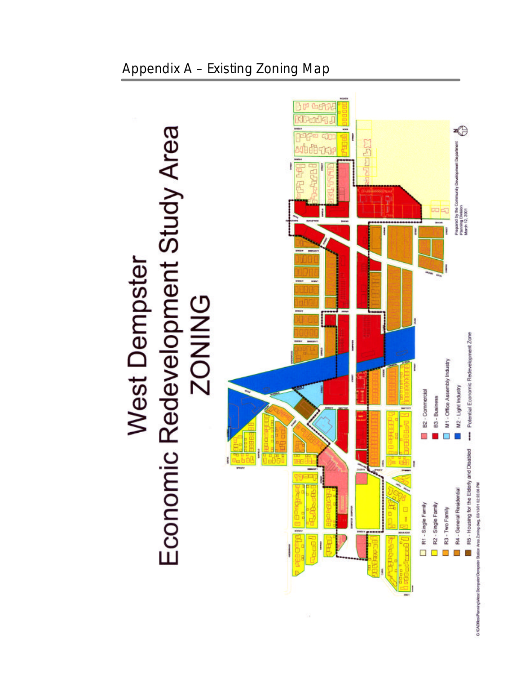